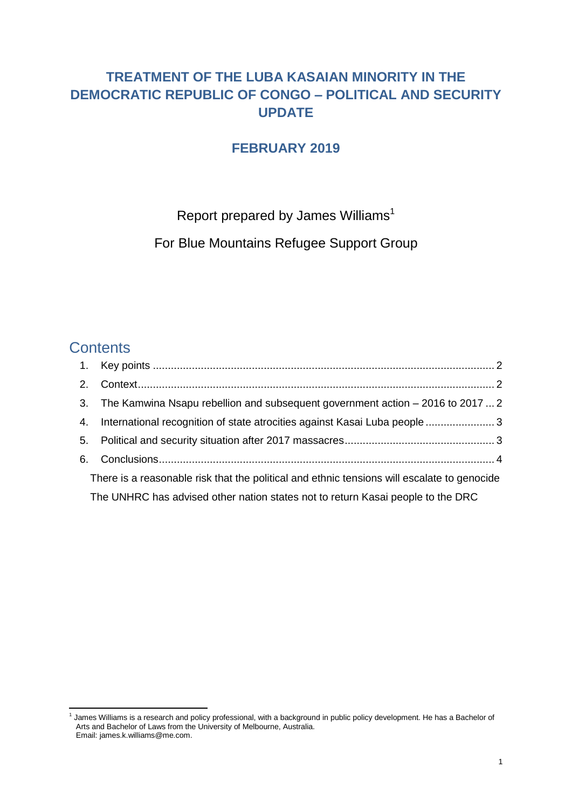# **TREATMENT OF THE LUBA KASAIAN MINORITY IN THE DEMOCRATIC REPUBLIC OF CONGO – POLITICAL AND SECURITY UPDATE**

## **FEBRUARY 2019**

Report prepared by James Williams<sup>1</sup>

For Blue Mountains Refugee Support Group

# **Contents**

| 3. The Kamwina Nsapu rebellion and subsequent government action – 2016 to 2017  2           |  |
|---------------------------------------------------------------------------------------------|--|
| 4. International recognition of state atrocities against Kasai Luba people  3               |  |
|                                                                                             |  |
|                                                                                             |  |
| There is a reasonable risk that the political and ethnic tensions will escalate to genocide |  |
| The UNHRC has advised other nation states not to return Kasai people to the DRC             |  |

 1 James Williams is a research and policy professional, with a background in public policy development. He has a Bachelor of Arts and Bachelor of Laws from the University of Melbourne, Australia. Email: james.k.williams@me.com.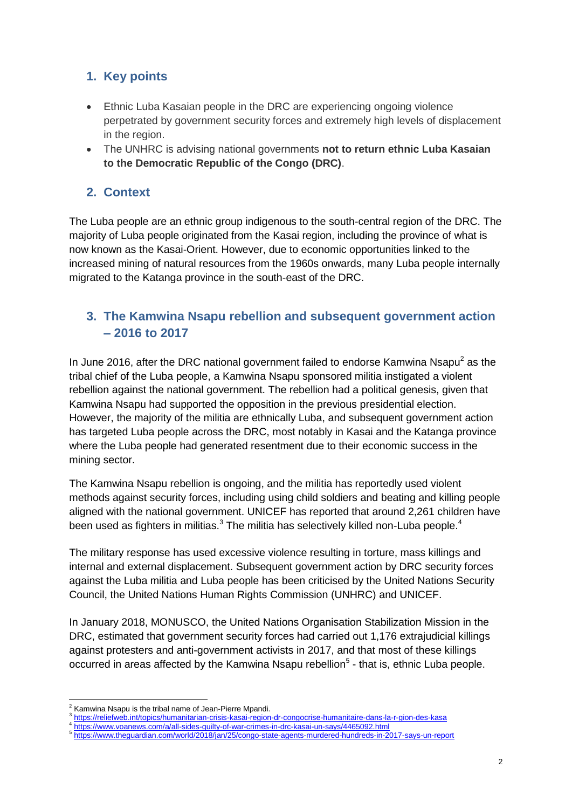## <span id="page-1-0"></span>**1. Key points**

- Ethnic Luba Kasaian people in the DRC are experiencing ongoing violence perpetrated by government security forces and extremely high levels of displacement in the region.
- The UNHRC is advising national governments **not to return ethnic Luba Kasaian to the Democratic Republic of the Congo (DRC)**.

## <span id="page-1-1"></span>**2. Context**

The Luba people are an ethnic group indigenous to the south-central region of the DRC. The majority of Luba people originated from the Kasai region, including the province of what is now known as the Kasai-Orient. However, due to economic opportunities linked to the increased mining of natural resources from the 1960s onwards, many Luba people internally migrated to the Katanga province in the south-east of the DRC.

# <span id="page-1-2"></span>**3. The Kamwina Nsapu rebellion and subsequent government action – 2016 to 2017**

In June 2016, after the DRC national government failed to endorse Kamwina Nsapu<sup>2</sup> as the tribal chief of the Luba people, a Kamwina Nsapu sponsored militia instigated a violent rebellion against the national government. The rebellion had a political genesis, given that Kamwina Nsapu had supported the opposition in the previous presidential election. However, the majority of the militia are ethnically Luba, and subsequent government action has targeted Luba people across the DRC, most notably in Kasai and the Katanga province where the Luba people had generated resentment due to their economic success in the mining sector.

The Kamwina Nsapu rebellion is ongoing, and the militia has reportedly used violent methods against security forces, including using child soldiers and beating and killing people aligned with the national government. UNICEF has reported that around 2,261 children have been used as fighters in militias. $3$  The militia has selectively killed non-Luba people.<sup>4</sup>

The military response has used excessive violence resulting in torture, mass killings and internal and external displacement. Subsequent government action by DRC security forces against the Luba militia and Luba people has been criticised by the United Nations Security Council, the United Nations Human Rights Commission (UNHRC) and UNICEF.

In January 2018, MONUSCO, the United Nations Organisation Stabilization Mission in the DRC, estimated that government security forces had carried out 1,176 extrajudicial killings against protesters and anti-government activists in 2017, and that most of these killings occurred in areas affected by the Kamwina Nsapu rebellion<sup>5</sup> - that is, ethnic Luba people.

**.** 

Kamwina Nsapu is the tribal name of Jean-Pierre Mpandi.

<sup>3</sup> <https://reliefweb.int/topics/humanitarian-crisis-kasai-region-dr-congocrise-humanitaire-dans-la-r-gion-des-kasa>

<sup>&</sup>lt;sup>4</sup> <https://www.voanews.com/a/all-sides-guilty-of-war-crimes-in-drc-kasai-un-says/4465092.html><br>5 https://www.thoguardian.com/world/2018/jop/25/eagge\_atate\_agents\_murdered\_bundrede.in\_2

<https://www.theguardian.com/world/2018/jan/25/congo-state-agents-murdered-hundreds-in-2017-says-un-report>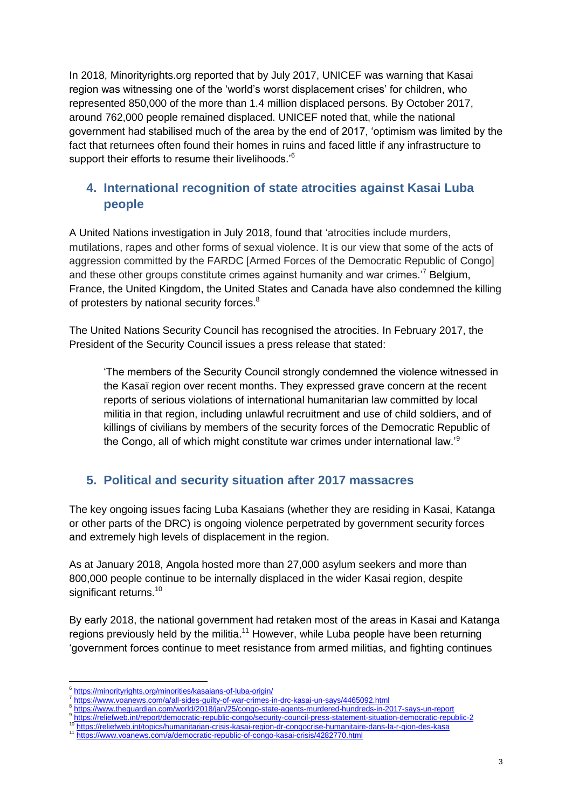In 2018, Minorityrights.org reported that by July 2017, UNICEF was warning that Kasai region was witnessing one of the 'world's worst displacement crises' for children, who represented 850,000 of the more than 1.4 million displaced persons. By October 2017, around 762,000 people remained displaced. UNICEF noted that, while the national government had stabilised much of the area by the end of 2017, 'optimism was limited by the fact that returnees often found their homes in ruins and faced little if any infrastructure to support their efforts to resume their livelihoods.<sup>'6</sup>

## <span id="page-2-0"></span>**4. International recognition of state atrocities against Kasai Luba people**

A United Nations investigation in July 2018, found that 'atrocities include murders, mutilations, rapes and other forms of sexual violence. It is our view that some of the acts of aggression committed by the FARDC [Armed Forces of the Democratic Republic of Congo] and these other groups constitute crimes against humanity and war crimes.'<sup>7</sup> Belgium, France, the United Kingdom, the United States and Canada have also condemned the killing of protesters by national security forces.<sup>8</sup>

The United Nations Security Council has recognised the atrocities. In February 2017, the President of the Security Council issues a press release that stated:

'The members of the Security Council strongly condemned the violence witnessed in the Kasaï region over recent months. They expressed grave concern at the recent reports of serious violations of international humanitarian law committed by local militia in that region, including unlawful recruitment and use of child soldiers, and of killings of civilians by members of the security forces of the Democratic Republic of the Congo, all of which might constitute war crimes under international law.'<sup>9</sup>

# <span id="page-2-1"></span>**5. Political and security situation after 2017 massacres**

The key ongoing issues facing Luba Kasaians (whether they are residing in Kasai, Katanga or other parts of the DRC) is ongoing violence perpetrated by government security forces and extremely high levels of displacement in the region.

As at January 2018, Angola hosted more than 27,000 asylum seekers and more than 800,000 people continue to be internally displaced in the wider Kasai region, despite significant returns.<sup>10</sup>

By early 2018, the national government had retaken most of the areas in Kasai and Katanga regions previously held by the militia.<sup>11</sup> However, while Luba people have been returning 'government forces continue to meet resistance from armed militias, and fighting continues

<sup>1</sup> 6 <https://minorityrights.org/minorities/kasaians-of-luba-origin/>

<sup>7</sup> <https://www.voanews.com/a/all-sides-guilty-of-war-crimes-in-drc-kasai-un-says/4465092.html>

<sup>8</sup> <https://www.theguardian.com/world/2018/jan/25/congo-state-agents-murdered-hundreds-in-2017-says-un-report> 9

<sup>&</sup>lt;sup>9</sup><https://reliefweb.int/report/democratic-republic-congo/security-council-press-statement-situation-democratic-republic-2>

<sup>10</sup> <https://reliefweb.int/topics/humanitarian-crisis-kasai-region-dr-congocrise-humanitaire-dans-la-r-gion-des-kasa>

<sup>11</sup> <https://www.voanews.com/a/democratic-republic-of-congo-kasai-crisis/4282770.html>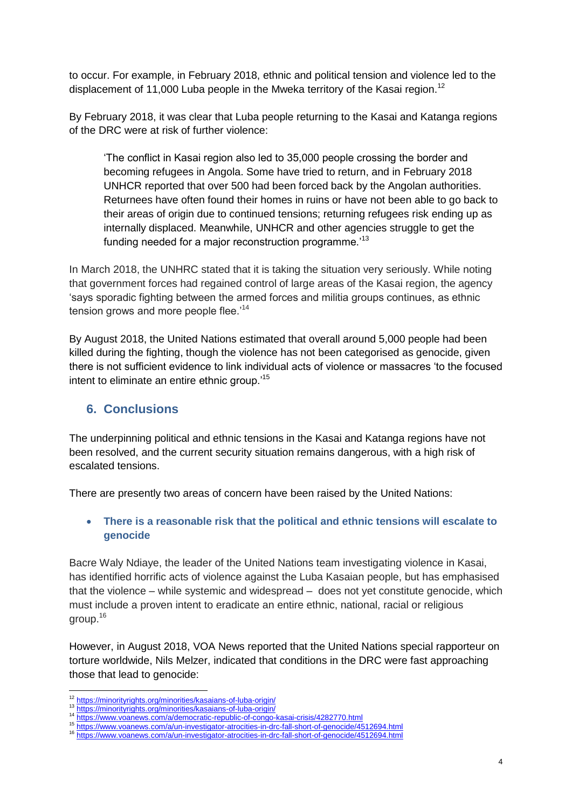to occur. For example, in February 2018, ethnic and political tension and violence led to the displacement of 11,000 Luba people in the Mweka territory of the Kasai region.<sup>12</sup>

By February 2018, it was clear that Luba people returning to the Kasai and Katanga regions of the DRC were at risk of further violence:

'The conflict in Kasai region also led to 35,000 people crossing the border and becoming refugees in Angola. Some have tried to return, and in February 2018 UNHCR reported that over 500 had been forced back by the Angolan authorities. Returnees have often found their homes in ruins or have not been able to go back to their areas of origin due to continued tensions; returning refugees risk ending up as internally displaced. Meanwhile, UNHCR and other agencies struggle to get the funding needed for a major reconstruction programme.<sup>13</sup>

In March 2018, the UNHRC stated that it is taking the situation very seriously. While noting that government forces had regained control of large areas of the Kasai region, the agency 'says sporadic fighting between the armed forces and militia groups continues, as ethnic tension grows and more people flee.<sup>14</sup>

By August 2018, the United Nations estimated that overall around 5,000 people had been killed during the fighting, though the violence has not been categorised as genocide, given there is not sufficient evidence to link individual acts of violence or massacres 'to the focused intent to eliminate an entire ethnic group.'<sup>15</sup>

### <span id="page-3-0"></span>**6. Conclusions**

The underpinning political and ethnic tensions in the Kasai and Katanga regions have not been resolved, and the current security situation remains dangerous, with a high risk of escalated tensions.

There are presently two areas of concern have been raised by the United Nations:

#### <span id="page-3-1"></span> **There is a reasonable risk that the political and ethnic tensions will escalate to genocide**

Bacre Waly Ndiaye, the leader of the United Nations team investigating violence in Kasai, has identified horrific acts of violence against the Luba Kasaian people, but has emphasised that the violence – while systemic and widespread – does not yet constitute genocide, which must include a proven intent to eradicate an entire ethnic, national, racial or religious group.<sup>16</sup>

However, in August 2018, VOA News reported that the United Nations special rapporteur on torture worldwide, Nils Melzer, indicated that conditions in the DRC were fast approaching those that lead to genocide:

**.** 

<sup>&</sup>lt;sup>12</sup> <https://minorityrights.org/minorities/kasaians-of-luba-origin/>

<sup>13</sup> <https://minorityrights.org/minorities/kasaians-of-luba-origin/>

<https://www.voanews.com/a/democratic-republic-of-congo-kasai-crisis/4282770.html>

<sup>15</sup> <https://www.voanews.com/a/un-investigator-atrocities-in-drc-fall-short-of-genocide/4512694.html>

<sup>16</sup> <https://www.voanews.com/a/un-investigator-atrocities-in-drc-fall-short-of-genocide/4512694.html>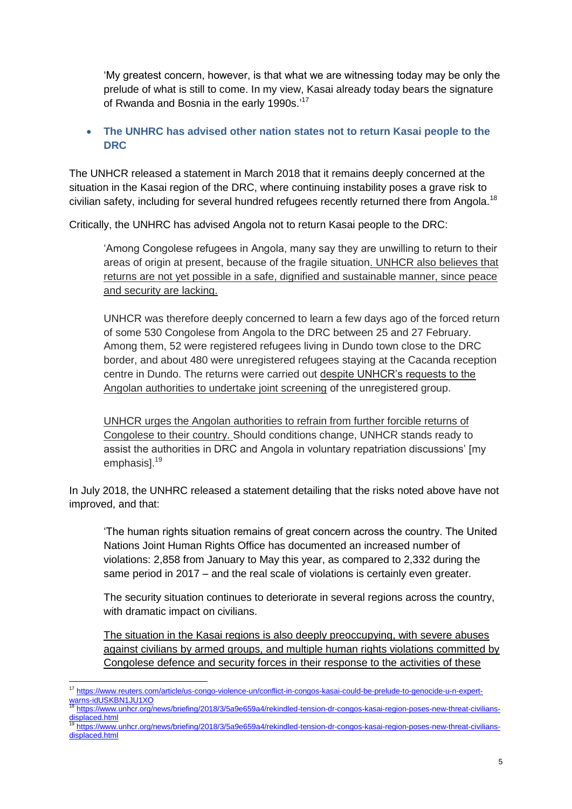'My greatest concern, however, is that what we are witnessing today may be only the prelude of what is still to come. In my view, Kasai already today bears the signature of Rwanda and Bosnia in the early 1990s.'<sup>17</sup>

#### <span id="page-4-0"></span> **The UNHRC has advised other nation states not to return Kasai people to the DRC**

The UNHCR released a statement in March 2018 that it remains deeply concerned at the situation in the Kasai region of the DRC, where continuing instability poses a grave risk to civilian safety, including for several hundred refugees recently returned there from Angola.<sup>18</sup>

Critically, the UNHRC has advised Angola not to return Kasai people to the DRC:

'Among Congolese refugees in Angola, many say they are unwilling to return to their areas of origin at present, because of the fragile situation. UNHCR also believes that returns are not yet possible in a safe, dignified and sustainable manner, since peace and security are lacking.

UNHCR was therefore deeply concerned to learn a few days ago of the forced return of some 530 Congolese from Angola to the DRC between 25 and 27 February. Among them, 52 were registered refugees living in Dundo town close to the DRC border, and about 480 were unregistered refugees staying at the Cacanda reception centre in Dundo. The returns were carried out despite UNHCR's requests to the Angolan authorities to undertake joint screening of the unregistered group.

UNHCR urges the Angolan authorities to refrain from further forcible returns of Congolese to their country. Should conditions change, UNHCR stands ready to assist the authorities in DRC and Angola in voluntary repatriation discussions' [my emphasis].<sup>19</sup>

In July 2018, the UNHRC released a statement detailing that the risks noted above have not improved, and that:

'The human rights situation remains of great concern across the country. The United Nations Joint Human Rights Office has documented an increased number of violations: 2,858 from January to May this year, as compared to 2,332 during the same period in 2017 – and the real scale of violations is certainly even greater.

The security situation continues to deteriorate in several regions across the country, with dramatic impact on civilians.

The situation in the Kasai regions is also deeply preoccupying, with severe abuses against civilians by armed groups, and multiple human rights violations committed by Congolese defence and security forces in their response to the activities of these

<sup>1</sup> <sup>17</sup> [https://www.reuters.com/article/us-congo-violence-un/conflict-in-congos-kasai-could-be-prelude-to-genocide-u-n-expert](https://www.reuters.com/article/us-congo-violence-un/conflict-in-congos-kasai-could-be-prelude-to-genocide-u-n-expert-warns-idUSKBN1JU1XO)[warns-idUSKBN1JU1XO](https://www.reuters.com/article/us-congo-violence-un/conflict-in-congos-kasai-could-be-prelude-to-genocide-u-n-expert-warns-idUSKBN1JU1XO)

<sup>18</sup> [https://www.unhcr.org/news/briefing/2018/3/5a9e659a4/rekindled-tension-dr-congos-kasai-region-poses-new-threat-civilians](https://www.unhcr.org/news/briefing/2018/3/5a9e659a4/rekindled-tension-dr-congos-kasai-region-poses-new-threat-civilians-displaced.html)[displaced.html](https://www.unhcr.org/news/briefing/2018/3/5a9e659a4/rekindled-tension-dr-congos-kasai-region-poses-new-threat-civilians-displaced.html)<br><sup>19</sup> [https://www.unhcr.org/news/briefing/2018/3/5a9e659a4/rekindled-tension-dr-congos-kasai-region-poses-new-threat-civilians-](https://www.unhcr.org/news/briefing/2018/3/5a9e659a4/rekindled-tension-dr-congos-kasai-region-poses-new-threat-civilians-displaced.html)

[displaced.html](https://www.unhcr.org/news/briefing/2018/3/5a9e659a4/rekindled-tension-dr-congos-kasai-region-poses-new-threat-civilians-displaced.html)